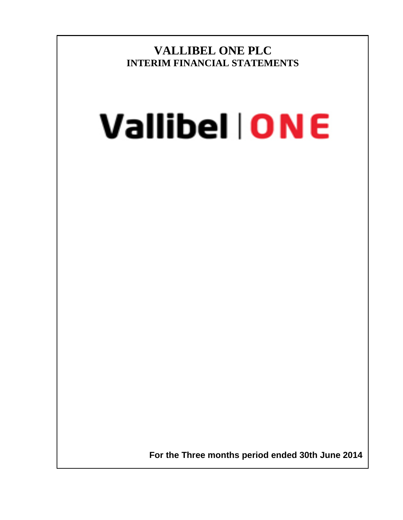**VALLIBEL ONE PLC INTERIM FINANCIAL STATEMENTS**

# Vallibel | ONE

 **For the Three months period ended 30th June 2014**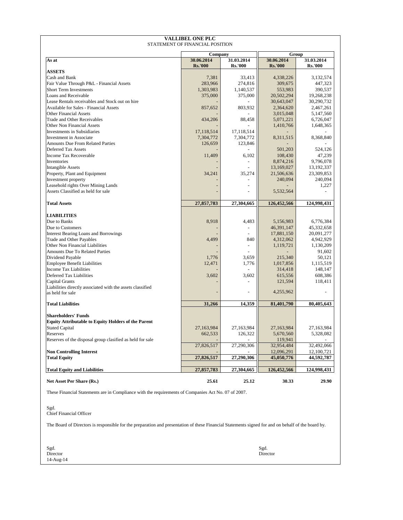|                                                            | <b>Company</b>               |                              | Group                        |                              |  |
|------------------------------------------------------------|------------------------------|------------------------------|------------------------------|------------------------------|--|
| As at                                                      | 30.06.2014<br><b>Rs.'000</b> | 31.03.2014<br><b>Rs.'000</b> | 30.06.2014<br><b>Rs.'000</b> | 31.03.2014<br><b>Rs.'000</b> |  |
| <b>ASSETS</b>                                              |                              |                              |                              |                              |  |
| <b>Cash and Bank</b>                                       | 7,381                        | 33,413                       | 4,338,226                    | 3,132,574                    |  |
| <b>Fair Value Through P&amp;L - Financial Assets</b>       | 283,966                      | 274,816                      | 309,675                      | 447,323                      |  |
| <b>Short Term Investments</b>                              | 1,303,983                    | 1,140,537                    | 553,983                      | 390,537                      |  |
| Loans and Receivable                                       | 375,000                      | 375,000                      | 20,502,294                   | 19,268,238                   |  |
| Lease Rentals receivables and Stock out on hire            |                              |                              | 30,643,047                   | 30,290,732                   |  |
| <b>Available for Sales - Financial Assets</b>              | 857,652                      | 803,932                      | 2,364,620                    | 2,467,261                    |  |
| <b>Other Financial Assets</b>                              |                              |                              | 3,015,048                    | 5,147,560                    |  |
| <b>Trade and Other Receivables</b>                         | 434,206                      | 88,458                       | 5,071,221                    | 6,726,047                    |  |
| Other Non Financial Assets                                 |                              |                              | 1,410,766                    | 1,648,365                    |  |
| Investments in Subsidiaries                                | 17,118,514                   | 17, 118, 514                 |                              |                              |  |
| Investment in Associate                                    | 7,304,772                    | 7,304,772                    | 8,311,515                    | 8,368,840                    |  |
| <b>Amounts Due From Related Parties</b>                    | 126,659                      | 123,846                      |                              |                              |  |
| Deferred Tax Assets                                        |                              |                              | 501,203                      | 524,126                      |  |
| Income Tax Recoverable                                     | 11,409                       | 6,102                        | 108,430                      | 47,239                       |  |
| Inventories                                                |                              |                              | 8,874,216                    | 9,796,078                    |  |
| Intangible Assets                                          |                              |                              | 13,169,027                   | 13,192,337                   |  |
| Property, Plant and Equipment                              | 34,241                       | 35,274                       | 21,506,636                   | 23,309,853                   |  |
| Investment property                                        |                              |                              | 240,094                      | 240,094                      |  |
| Leasehold rights Over Mining Lands                         |                              |                              |                              | 1,227                        |  |
| Assets Classified as held for sale                         |                              |                              | 5,532,564                    |                              |  |
|                                                            |                              |                              |                              |                              |  |
| <b>Total Assets</b>                                        | 27,857,783                   | 27,304,665                   | 126,452,566                  | 124,998,431                  |  |
| <b>LIABILITIES</b>                                         |                              |                              |                              |                              |  |
| Due to Banks                                               | 8,918                        | 4,483                        | 5,156,983                    | 6,776,384                    |  |
| Due to Customers                                           |                              |                              | 46, 391, 147                 | 45,332,658                   |  |
| <b>Interest Bearing Loans and Borrowings</b>               |                              |                              | 17,881,150                   | 20,091,277                   |  |
| <b>Trade and Other Payables</b>                            | 4,499                        | 840                          | 4,312,062                    | 4,942,929                    |  |
| <b>Other Non Financial Liabilities</b>                     |                              |                              | 1,119,721                    | 1,130,209                    |  |
| <b>Amounts Due To Related Parties</b>                      |                              |                              |                              | 91,602                       |  |
| Dividend Payable                                           | 1,776                        | 3,659                        | 215,340                      | 50,121                       |  |
| <b>Employee Benefit Liabilities</b>                        | 12,471                       | 1,776                        | 1,017,856                    | 1,115,519                    |  |
| <b>Income Tax Liabilities</b>                              |                              |                              | 314,418                      | 148,147                      |  |
| Deferred Tax Liabilities                                   | 3,602                        | 3,602                        | 615,556                      | 608,386                      |  |
| Capital Grants                                             |                              |                              | 121,594                      | 118,411                      |  |
| Liabilities directly associated with the assets classified |                              |                              |                              |                              |  |
| as held for sale                                           |                              |                              | 4,255,962                    |                              |  |
|                                                            |                              |                              |                              |                              |  |
| <b>Total Liabilities</b>                                   | 31,266                       | 14,359                       | 81,401,790                   | 80,405,643                   |  |
| <b>Shareholders' Funds</b>                                 |                              |                              |                              |                              |  |
| <b>Equity Attributable to Equity Holders of the Parent</b> |                              |                              |                              |                              |  |
| <b>Stated Capital</b>                                      | 27,163,984                   | 27,163,984                   | 27,163,984                   | 27,163,984                   |  |
| Reserves                                                   | 662,533                      | 126,322                      | 5,670,560                    | 5,328,082                    |  |
| Reserves of the disposal group clasified as held for sale  |                              |                              | 119,941                      |                              |  |
|                                                            | 27,826,517                   | 27,290,306                   | 32,954,484                   | 32,492,066                   |  |
| <b>Non Controlling Interest</b>                            |                              |                              | 12,096,291                   | 12,100,721                   |  |
| <b>Total Equity</b>                                        | 27,826,517                   | 27,290,306                   | 45,050,776                   | 44,592,787                   |  |
| <b>Total Equity and Liabilities</b>                        | 27,857,783                   | 27,304,665                   | 126,452,566                  | 124,998,431                  |  |
|                                                            |                              |                              |                              |                              |  |
| <b>Net Asset Per Share (Rs.)</b>                           | 25.61                        | 25.12                        | 30.33                        | 29.90                        |  |

| These Financial Statements are in Compliance with the requirements of Companies Act No. 07 of 2007.                                                |                  |
|----------------------------------------------------------------------------------------------------------------------------------------------------|------------------|
| Sgd.<br><b>Chief Financial Officer</b>                                                                                                             |                  |
| The Board of Directors is responsible for the preparation and presentation of these Financial Statements signed for and on behalf of the board by. |                  |
| Sgd.<br>Director<br>$14$ -Aug-14                                                                                                                   | Sgd.<br>Director |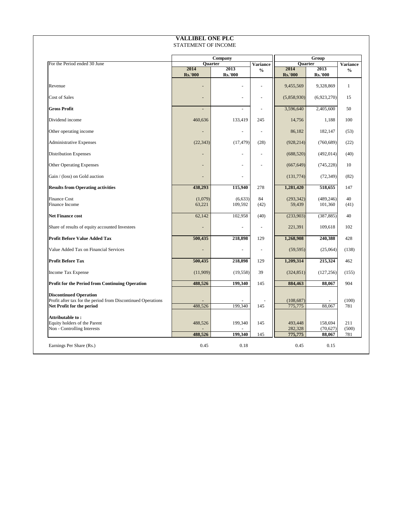|                                                                                                                            |                   | <b>Company</b>      |                 |                       | Group                 |                 |
|----------------------------------------------------------------------------------------------------------------------------|-------------------|---------------------|-----------------|-----------------------|-----------------------|-----------------|
| For the Period ended 30 June                                                                                               | Quarter<br>2014   | 2013                | <b>Variance</b> | Quarter<br>2014       | 2013                  | <b>Variance</b> |
|                                                                                                                            | <b>Rs.'000</b>    | <b>Rs.'000</b>      | $\frac{6}{6}$   | <b>Rs.'000</b>        | <b>Rs.'000</b>        | $\frac{6}{6}$   |
| Revenue                                                                                                                    |                   | ۰.                  |                 | 9,455,569             | 9,328,869             |                 |
| <b>Cost of Sales</b>                                                                                                       |                   | ۰.                  |                 | (5,858,930)           | (6,923,270)           | 15              |
| <b>Gross Profit</b>                                                                                                        | $\blacksquare$    | $\blacksquare$      |                 | 3,596,640             | 2,405,600             | 50              |
| Dividend income                                                                                                            | 460,636           | 133,419             | 245             | 14,756                | 1,188                 | 100             |
| Other operating income                                                                                                     |                   | $\blacksquare$      |                 | 86,182                | 182,147               | (53)            |
| <b>Administrative Expenses</b>                                                                                             | (22, 343)         | (17, 479)           | (28)            | (928, 214)            | (760, 689)            | (22)            |
| <b>Distribution Expenses</b>                                                                                               | $\qquad \qquad =$ | $\blacksquare$      |                 | (688,520)             | (492,014)             | (40)            |
| <b>Other Operating Expenses</b>                                                                                            |                   | $\blacksquare$      |                 | (667, 649)            | (745, 228)            | 10              |
| Gain / (loss) on Gold auction                                                                                              |                   | $\blacksquare$      |                 | (131,774)             | (72, 349)             | (82)            |
| <b>Results from Operating activities</b>                                                                                   | 438,293           | 115,940             | 278             | 1,281,420             | 518,655               | 147             |
| <b>Finance Cost</b><br><b>Finance Income</b>                                                                               | (1,079)<br>63,221 | (6, 633)<br>109,592 | 84<br>(42)      | (293, 342)<br>59,439  | (489, 246)<br>101,360 | 40<br>(41)      |
| <b>Net Finance cost</b>                                                                                                    | 62,142            | 102,958             | (40)            | (233,903)             | (387, 885)            | 40              |
| Share of results of equity accounted Investees                                                                             |                   | ۰.                  |                 | 221,391               | 109,618               | 102             |
| <b>Profit Before Value Added Tax</b>                                                                                       | 500,435           | 218,898             | 129             | 1,268,908             | 240,388               | 428             |
| Value Added Tax on Financial Services                                                                                      | Ξ.                | $\blacksquare$      |                 | (59, 595)             | (25,064)              | (138)           |
| <b>Profit Before Tax</b>                                                                                                   | 500,435           | 218,898             | 129             | 1,209,314             | 215,324               | 462             |
| <b>Income Tax Expense</b>                                                                                                  | (11,909)          | (19,558)            | 39              | (324, 851)            | (127,256)             | (155)           |
| <b>Profit for the Period from Continuing Operation</b>                                                                     | 488,526           | 199,340             | 145             | 884,463               | 88,067                | 904             |
| <b>Discontinued Operation</b><br>Profit after tax for the period from Discontinued Operations<br>Net Profit for the period | 488,526           | 199,340             | 145             | (108, 687)<br>775,775 | 88,067                | (100)<br>781    |
| <b>Attributable to:</b><br>Equity holders of the Parent<br>Non - Controlling Interests                                     | 488,526           | 199,340             | 145             | 493,448<br>282,328    | 158,694<br>(70,627)   | 211<br>(500)    |
|                                                                                                                            | 488,526           | 199,340             | 145             | 775,775               | 88,067                | 781             |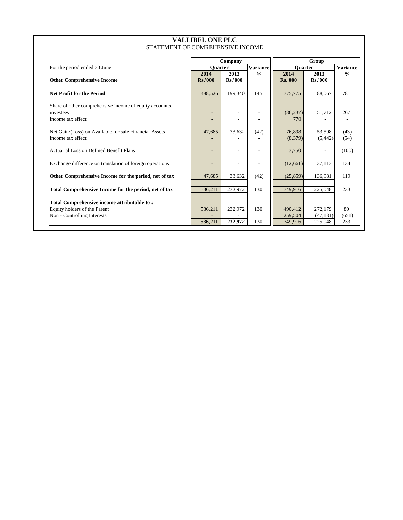| STATEMENT OF COMREHENSIVE INCOME                                                                           |                        |                          |                 |                        |                        |                 |  |  |  |
|------------------------------------------------------------------------------------------------------------|------------------------|--------------------------|-----------------|------------------------|------------------------|-----------------|--|--|--|
|                                                                                                            |                        | <b>Company</b>           |                 |                        | Group                  |                 |  |  |  |
| For the period ended 30 June                                                                               | Quarter                |                          | <b>Variance</b> | Quarter                |                        | <b>Variance</b> |  |  |  |
| <b>Other Comprehensive Income</b>                                                                          | 2014<br><b>Rs.'000</b> | 2013<br><b>Rs.'000</b>   | $\frac{6}{6}$   | 2014<br><b>Rs.'000</b> | 2013<br><b>Rs.'000</b> | $\frac{6}{6}$   |  |  |  |
| <b>Net Profit for the Period</b>                                                                           | 488,526                | 199,340                  | 145             | 775,775                | 88,067                 | 781             |  |  |  |
| Share of other comprehensive income of equity accounted<br>investees<br>Income tax effect                  |                        | $\overline{\phantom{a}}$ |                 | (86, 237)<br>770       | 51,712                 | 267             |  |  |  |
| Net Gain/(Loss) on Available for sale Financial Assets<br>Income tax effect                                | 47,685                 | 33,632                   | (42)            | 76,898<br>(8,379)      | 53,598<br>(5,442)      | (43)<br>(54)    |  |  |  |
| <b>Actuarial Loss on Defined Benefit Plans</b>                                                             |                        | $\blacksquare$           |                 | 3,750                  | $\blacksquare$         | (100)           |  |  |  |
| Exchange difference on translation of foreign operations                                                   |                        | $\blacksquare$           |                 | (12,661)               | 37,113                 | 134             |  |  |  |
| Other Comprehensive Income for the period, net of tax                                                      | 47,685                 | 33,632                   | (42)            | (25, 859)              | 136,981                | 119             |  |  |  |
| Total Comprehensive Income for the period, net of tax                                                      | 536,211                | 232,972                  | 130             | 749,916                | 225,048                | 233             |  |  |  |
| Total Comprehensive income attributable to:<br>Equity holders of the Parent<br>Non - Controlling Interests | 536,211                | 232,972                  | 130             | 490,412<br>259,504     | 272,179<br>(47, 131)   | 80<br>(651)     |  |  |  |
|                                                                                                            | 536,211                | 232,972                  | 130             | 749,916                | 225,048                | 233             |  |  |  |

# **VALLIBEL ONE PLC**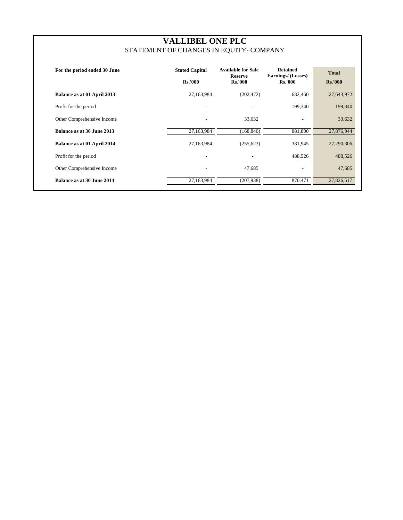| For the period ended 30 June      | <b>Stated Capital</b><br><b>Rs.'000</b> | <b>Available for Sale</b><br><b>Reserve</b><br><b>Rs.'000</b> | <b>Retained</b><br><b>Earnings/ (Losses)</b><br><b>Rs.'000</b> | <b>Total</b><br><b>Rs.'000</b> |
|-----------------------------------|-----------------------------------------|---------------------------------------------------------------|----------------------------------------------------------------|--------------------------------|
| Balance as at 01 April 2013       | 27,163,984                              | (202, 472)                                                    | 682,460                                                        | 27,643,972                     |
| Profit for the period             | $\overline{\phantom{0}}$                |                                                               | 199,340                                                        | 199,340                        |
| Other Comprehensive Income        | $\overline{\phantom{a}}$                | 33,632                                                        | $\overline{\phantom{a}}$                                       | 33,632                         |
| <b>Balance as at 30 June 2013</b> | 27,163,984                              | (168, 840)                                                    | 881,800                                                        | 27,876,944                     |
| Balance as at 01 April 2014       | 27,163,984                              | (255, 623)                                                    | 381,945                                                        | 27,290,306                     |
| Profit for the period             | $\overline{\phantom{0}}$                |                                                               | 488,526                                                        | 488,526                        |
| Other Comprehensive Income        | $\overline{\phantom{0}}$                | 47,685                                                        | $\overline{\phantom{0}}$                                       | 47,685                         |
| <b>Balance as at 30 June 2014</b> | 27,163,984                              | (207, 938)                                                    | 870,471                                                        | 27,826,517                     |

# **VALLIBEL ONE PLC** STATEMENT OF CHANGES IN EQUITY- COMPANY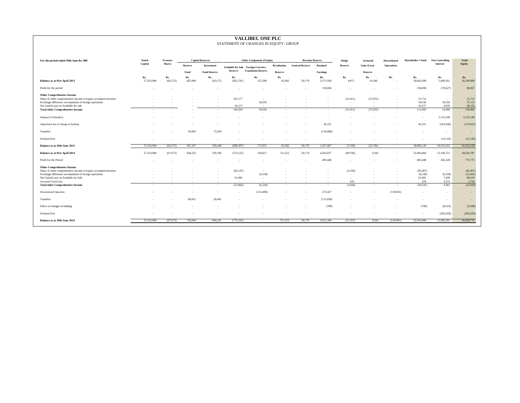| VALLIDEL UNE FLU<br>STATEMENT OF CHANGES IN EQUITY- GROUP                                                                                                          |                   |                  |                          |                          |                                            |                                  |                    |                        |                  |                             |                  |                                    |                           |                        |                       |
|--------------------------------------------------------------------------------------------------------------------------------------------------------------------|-------------------|------------------|--------------------------|--------------------------|--------------------------------------------|----------------------------------|--------------------|------------------------|------------------|-----------------------------|------------------|------------------------------------|---------------------------|------------------------|-----------------------|
| For the period ended 30th June Rs.'000                                                                                                                             | <b>Stated</b>     | <b>Treasury</b>  |                          | <b>Capital Reserves</b>  |                                            | <b>Other Component of Equity</b> |                    | <b>Revenue Reserve</b> |                  | Hedge                       | <b>Actuarial</b> | Discontinued                       | <b>Shareholder's Fund</b> | <b>Non Controlling</b> | <b>Total</b>          |
|                                                                                                                                                                    | Capital           | <b>Shares</b>    | <b>Reserve</b>           | Investment               | <b>Available for Sale Foreign Currency</b> |                                  | <b>Revaluation</b> | <b>General Reserve</b> | <b>Retained</b>  | <b>Reserve</b>              | Gain/(Loss)      | <b>Operations</b>                  |                           | <b>Interest</b>        | Equity                |
|                                                                                                                                                                    |                   |                  | Fund                     | <b>Fund Reserve</b>      | <b>Reserve</b>                             | <b>Translation Reserve</b>       | <b>Reserve</b>     |                        | <b>Earnings</b>  |                             | <b>Reserve</b>   |                                    |                           |                        |                       |
| <b>Balance as at 01st April 2013</b>                                                                                                                               | Rs.<br>27,163,984 | Rs.<br>(66, 372) | Rs.<br>455,904           | Rs.<br>263,175           | Rs.<br>(832,781)                           | Rs.<br>155,398                   | Rs.<br>81,962      | 50,179                 | Rs.<br>3,371,929 | Rs.<br>4,971                | Rs.<br>14,349    | Rs.<br>$\sim$                      | Rs.<br>30,662,699         | Rs.<br>5,684,101       | Rs.<br>36,346,800     |
| Profit for the period                                                                                                                                              | $\sim$            |                  |                          | $\sim$                   |                                            | $\sim$                           |                    |                        | 158,694          | $\sim$                      |                  |                                    | 158,694                   | (70,627)               | 88,067                |
| <b>Other Comprehensive Income</b><br>Share of other comprehensive income of equity accounted investees<br>Exchange difference on translation of foreign operations |                   |                  |                          | $\sim$<br>$\sim$         | 101,177<br>$\sim$ $ \sim$                  | $\sim$<br>18,556                 |                    |                        |                  | (12, 411)<br>$\overline{a}$ | (37, 055)        | $\sim$<br>$\overline{\phantom{0}}$ | 51,712<br>18,556          | $\sim$ $-$<br>18,556   | 51,712<br>37,113      |
| Net Gain/(Loss) on Available for sale                                                                                                                              | $\sim$ $-$        | $\sim$ $-$       | $\overline{\phantom{0}}$ | $\sim$                   | 43,217                                     | $\sim$ $ \sim$ $-$               | $\sim$ $-$         |                        |                  | $\sim$                      |                  | $\sim$                             | 43,217                    | 4,939                  | 48,156                |
| <b>Total other Comprehensive Income</b>                                                                                                                            | $\sim$            |                  |                          | $\sim$                   | 144,394                                    | 18,556                           | $\overline{a}$     |                        | $\sim$           | (12, 411)                   | (37, 055)        | $\sim$ 10 $\pm$                    | 113,485                   | 23,496                 | 136,981               |
| Disposal of Subsidiary                                                                                                                                             |                   |                  |                          | $\overline{\phantom{a}}$ |                                            |                                  |                    |                        |                  |                             |                  |                                    |                           | 5,152,540              | 5,152,540             |
| Adjustment due to Change in Holding                                                                                                                                |                   |                  |                          | $\overline{\phantom{0}}$ |                                            |                                  |                    |                        | 45,251           |                             |                  | $\overline{\phantom{0}}$           | 45,251                    | (224, 266)             | (179, 015)            |
| Transfers                                                                                                                                                          | $\sim$            | $\sim$           | 45,603                   | 73,264                   |                                            |                                  |                    |                        | (118, 868)       | $\overline{a}$              |                  |                                    |                           | $\sim$ $-$             |                       |
| Dividend Paid                                                                                                                                                      | $\sim$            |                  | $\sim$                   | $\sim$                   |                                            |                                  | $\sim$             |                        |                  |                             |                  | $\sim$                             | $\sim$                    | (13, 143)              | (13, 143)             |
| <b>Balance as at 30th June 2013</b>                                                                                                                                | 27,163,984        | (66, 372)        | 501,507                  | 336,440                  | (688, 387)                                 | 173,955                          | 81,962             | 50,179                 | 3,457,007        | (7, 439)                    | (22,706)         | $\overline{\phantom{0}}$           | 30,980,129                | 10,552,102             | 41,532,230            |
| <b>Balance as at 01st April 2014</b>                                                                                                                               | 27,163,984        | (67, 672)        | 628,232                  | 378,196                  | (753, 125)                                 | 158,817                          | 721,252            | 50,179                 | 4,262,037        | (49,706)                    | (126)            | $\overline{\phantom{0}}$           | 32,492,066                | 12,100,721             | 44,592,787            |
| Profit for the Period                                                                                                                                              | $\sim$            |                  |                          | $\overline{\phantom{0}}$ |                                            |                                  |                    |                        | 493,448          | $\sim$                      |                  | $\overline{\phantom{0}}$           | 493,448                   | 282,328                | 775,775               |
| <b>Other Comprehensive Income</b><br>Share of other comprehensive income of equity accounted investees<br>Exchange difference on translation of foreign operations |                   |                  |                          | $\sim$<br>$\sim$         | (83, 147)<br>$\sim$ $ \sim$                | $\sim$<br>(6,330)                |                    |                        |                  | (2,320)<br>$\sim$           |                  | $\overline{\phantom{0}}$<br>$\sim$ | (85, 467)<br>(6,330)      | $\sim$ $-$<br>(6,330)  | (85, 467)<br>(12,661) |
| Net Gain/(Loss) on Available for Sale                                                                                                                              |                   |                  | $\overline{a}$           | $\sim$                   | 61,081                                     | $\sim$                           |                    |                        |                  |                             |                  | $\overline{\phantom{0}}$           | 61,081                    | 7,438                  | 68,519                |
| Actuarial Gain/(Loss)                                                                                                                                              |                   |                  | $\sim$ $-$               | $\sim$                   | $\sim$ $-$                                 | $\sim 100$ m $^{-1}$             | $\sim$ $-$         | $\sim$                 |                  | 476                         |                  | $\sim$                             | 476                       | 3,274                  | 3,750                 |
| <b>Total other Comprehensive Income</b>                                                                                                                            | $\sim$            | $\sim$           | $\sim$                   | $\sim$                   | (22,066)                                   | (6,330)                          | $\overline{a}$     |                        | $\sim$ $-$       | (1,844)                     | $\sim$ $-$       | $\sim$                             | (30,241)                  | 4,382                  | (25,859)              |
| <b>Discontinued Operation</b>                                                                                                                                      | $\sim$            | $\sim$           | $\overline{a}$           | $\sim$                   | $\sim$ $-$                                 | (152, 486)                       | $\sim$             | $\sim$ $-$             | 272,427          | $\sim$                      | $\sim$ $-$       | (119, 941)                         | $\sim$                    | $\sim$ $-$             |                       |
| Transfers                                                                                                                                                          | $\sim$            | $\sim$           | 89,812                   | 26,045                   | $\sim$ $-$                                 | $\sim$                           | $\sim$             | $\sim$                 | (115,858)        | $\sim$                      |                  | $\sim$                             | $\sim$                    | $\sim$ $ \sim$         |                       |
| Effect on changes in holding                                                                                                                                       | $\sim$            |                  | $\sim$                   | $\sim$                   |                                            | $\overline{\phantom{0}}$         | $\sim$             |                        | (789)            | $\overline{\phantom{0}}$    |                  | $\overline{\phantom{0}}$           | (789)                     | (8,510)                | (9,298)               |
| Dividend Paid                                                                                                                                                      | $\sim$            |                  |                          | $\overline{\phantom{a}}$ |                                            |                                  |                    |                        |                  |                             |                  | $\overline{\phantom{0}}$           | $\sim$ $ \sim$            | (282, 629)             | (282, 629)            |
| <b>Balance as at 30th June 2014</b>                                                                                                                                | 27,163,984        | (67, 672)        | 718,044                  | 404,241                  | (775, 191)                                 | $\sim 100$ m $^{-1}$             | 721,252            | 50,179                 | 4,911,266        | (51, 551)                   | (126)            | (119, 941)                         | 32,954,484                | 12,096,291             | 45,050,776            |

# **VALLIBEL ONE PLC**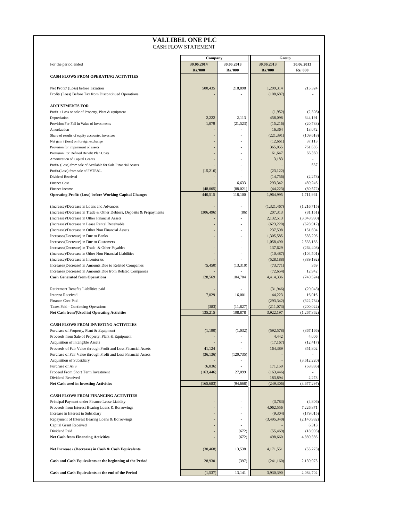|                                                                      | Company                      |                              | Group                        |                              |
|----------------------------------------------------------------------|------------------------------|------------------------------|------------------------------|------------------------------|
| For the period ended                                                 | 30.06.2014<br><b>Rs.'000</b> | 30.06.2013<br><b>Rs.'000</b> | 30.06.2013<br><b>Rs.'000</b> | 30.06.2013<br><b>Rs.'000</b> |
| <b>CASH FLOWS FROM OPERATING ACTIVITIES</b>                          |                              |                              |                              |                              |
| Net Profit/ (Loss) before Taxation                                   | 500,435                      | 218,898                      | 1,209,314                    | 215,324                      |
| Profit/ (Loss) Before Tax from Discontinued Operations               |                              |                              | (108, 687)                   |                              |
| <b>ADJUSTMENTS FOR</b>                                               |                              |                              |                              |                              |
| Profit / Loss on sale of Property, Plant & equipment                 |                              |                              | (1,952)                      | (2,308)                      |
| Depreciation                                                         | 2,222                        | 2,113                        | 458,098                      | 344,191                      |
| Provision For Fall in Value of Investments                           | 1,079                        | (21,523)                     | (15,216)                     | (20,788)                     |
| Amortization                                                         |                              |                              | 16,364                       | 13,072                       |
| Share of results of equity accounted investees                       |                              | $\overline{\phantom{a}}$     | (221, 391)                   | (109, 618)                   |
| Net gain / (loss) on foreign exchange                                |                              | $\overline{\phantom{a}}$     | (12,661)                     | 37,113                       |
| Provision for impairment of assets                                   |                              | $\overline{\phantom{a}}$     | 365,055                      | 761,685                      |
| Provision For Defined Benefit Plan Costs                             |                              | $\overline{\phantom{a}}$     | 61,647                       | 66,360                       |
| Amortization of Capital Grants                                       |                              | $\overline{\phantom{a}}$     | 3,183                        |                              |
| Profit/ (Loss) from sale of Available for Sale Financial Assets      |                              | $\overline{\phantom{a}}$     |                              | 537                          |
| Profit/(Loss) from sale of FVTP&L<br>Dividend Received               | (15,216)                     | $\overline{\phantom{a}}$     | (23, 122)                    |                              |
| <b>Finance Cost</b>                                                  |                              | 6,633                        | (14,756)<br>293,342          | (2,278)<br>489,246           |
| Finance Income                                                       | (48,005)                     | (88,021)                     | (44, 223)                    | (80, 572)                    |
| <b>Operating Profit/ (Loss) before Working Capital Changes</b>       | 440,515                      | 118,100                      | 1,964,995                    | 1,711,961                    |
|                                                                      |                              |                              |                              |                              |
| (Increase)/Decrease in Loans and Advances                            |                              |                              | (1,321,467)                  | (1,216,715)                  |
| (Increase)/Decrease in Trade & Other Debtors, Deposits & Prepayments | (306, 496)                   | (86)                         | 207,313                      | (81,151)                     |
| (Increase)/Decrease in Other Financial Assets                        |                              |                              | 2,132,513                    | (3,048,990)                  |
| (Increase)/Decrease in Lease Rental Receivable                       |                              |                              | (623, 220)                   | (628, 912)                   |
| (Increase)/Decrease in Other Non Financial Assets                    |                              | $\overline{\phantom{a}}$     | 237,598                      | 151,694                      |
| Increase/(Decrease) in Due to Banks                                  |                              | $\overline{\phantom{a}}$     | 1,305,585                    | 583,206                      |
| Increase/(Decrease) in Due to Customers                              |                              | $\overline{\phantom{a}}$     | 1,058,490                    | 2,533,183                    |
| Increase/(Decrease) in Trade & Other Payables                        |                              | $\overline{\phantom{a}}$     | 137,629                      | (264, 408)                   |
| (Increase)/Decrease in Other Non Financial Liabilities               |                              | $\overline{\phantom{a}}$     | (10, 487)                    | (104, 501)                   |
| (Increase)/Decrease in Inventories                                   |                              |                              | (528, 188)                   | (389, 192)                   |
| Increase/(Decrease) in Amounts Due to Related Companies              | (5,450)                      | (13,310)                     | (73, 771)                    | 359                          |
| Increase/(Decrease) in Amounts Due from Related Companies            |                              |                              | (72, 654)                    | 12,942                       |
| <b>Cash Generated from Operations</b>                                | 128,569                      | 104,704                      | 4,414,336                    | (740, 524)                   |
| Retirement Benefits Liabilities paid                                 |                              |                              | (31,946)                     | (20,048)                     |
| <b>Interest Received</b>                                             | 7,029                        | 16,001                       | 44,223                       | 16,016                       |
| <b>Finance Cost Paid</b>                                             |                              |                              | (293, 342)                   | (322, 784)                   |
| <b>Taxes Paid - Continuing Operations</b>                            | (383)                        | (11, 827)                    | (211,073)                    | (200, 022)                   |
| Net Cash from/(Used in) Operating Activities                         | 135,215                      | 108,878                      | 3,922,197                    | (1,267,362)                  |
|                                                                      |                              |                              |                              |                              |
| <b>CASH FLOWS FROM INVESTING ACTIVITIES</b>                          |                              |                              |                              |                              |
| Purchase of Property, Plant & Equipment                              | (1,190)                      | (1,032)                      | (592, 578)                   | (367, 166)                   |
| Proceeds from Sale of Property, Plant & Equipment                    |                              |                              | 4,442                        | 4,006                        |
| <b>Acquisition of Intangible Assets</b>                              |                              |                              | (17, 167)                    | (12, 417)                    |
| Proceeds of Fair Value through Profit and Loss Financial Assets      | 41,124                       |                              | 164,389                      | 351,802                      |
| Purchase of Fair Value through Profit and Loss Financial Assets      | (36, 136)                    | (120, 735)                   |                              |                              |
| <b>Acquisition of Subsidiary</b>                                     |                              |                              |                              | (3,612,220)                  |
| Purchase of AFS                                                      | (6,036)                      |                              | 171,159                      | (58, 886)                    |
| <b>Proceed From Short Term Investment</b>                            | (163, 446)                   | 27,099                       | (163, 446)                   |                              |
| Dividend Received                                                    |                              |                              | 183,894                      | 2,278                        |
| <b>Net Cash used in Investing Activities</b>                         | (165, 683)                   | (94, 668)                    | (249, 306)                   | (3,677,297)                  |
| <b>CASH FLOWS FROM FINANCING ACTIVITIES</b>                          |                              |                              |                              |                              |
| Principal Payment under Finance Lease Liability                      |                              |                              | (3,783)                      | (4,806)                      |
| Proceeds from Interest Bearing Loans & Borrowings                    |                              |                              | 4,062,556                    | 7,226,871                    |
| Increase in Interest in Subsidiary                                   |                              |                              | (9,304)                      | (179, 015)                   |
| Repayment of Interest Bearing Loans & Borrowings                     |                              |                              | (3,495,340)                  | (2,140,982)                  |
| <b>Capital Grant Received</b>                                        |                              |                              |                              | 6,313                        |
| Dividend Paid                                                        |                              | (672)                        | (55, 469)                    | (18,995)                     |
| <b>Net Cash from Financing Activities</b>                            |                              | (672)                        | 498,660                      | 4,889,386                    |
| Net Increase / (Decrease) in Cash & Cash Equivalents                 | (30, 468)                    | 13,538                       | 4,171,551                    | (55,273)                     |
| Cash and Cash Equivalents at the beginning of the Period             | 28,930                       | (397)                        | (241,160)                    | 2,139,975                    |
|                                                                      |                              |                              |                              |                              |
| Cash and Cash Equivalents at the end of the Period                   | (1,537)                      | 13,141                       | 3,930,390                    | 2,084,702                    |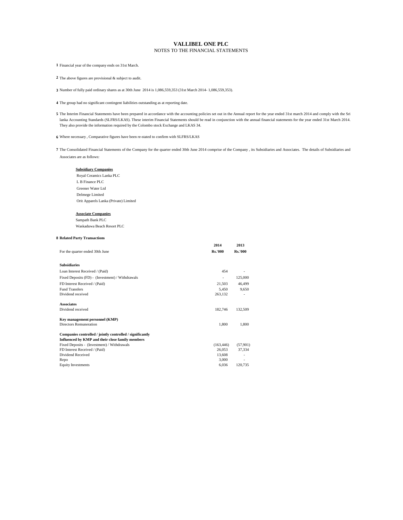#### **Subsidiary Companies**

 Royal Ceramics Lanka PLC L B Finance PLC Greener Water Ltd Delmege Limited Orit Apparels Lanka (Private) Limited

#### **Associate Companies**

Sampath Bank PLC Waskaduwa Beach Resort PLC

#### **8 Related Party Transactions**

|                                                  | 2014                     | 2013                     |
|--------------------------------------------------|--------------------------|--------------------------|
| For the quarter ended 30th June                  | <b>Rs.'000</b>           | <b>Rs.'000</b>           |
|                                                  |                          |                          |
| <b>Subsidiaries</b>                              |                          |                          |
| Loan Interest Received / (Paid)                  | 454                      | -                        |
| Fixed Deposits (FD) - (Investment) / Withdrawals | $\overline{\phantom{a}}$ | 125,000                  |
| FD Interest Received / (Paid)                    | 21,503                   | 46,499                   |
| <b>Fund Transfers</b>                            | 5,450                    | 9,650                    |
| Dividend received                                | 263,132                  | $\overline{\phantom{a}}$ |
| <b>Associates</b>                                |                          |                          |
| Dividend received                                | 182,746                  | 132,509                  |

**7** The Consolidated Financial Statements of the Company for the quarter ended 30th June 2014 comprise of the Company , its Subsidiaries and Associates. The details of Subsidiaries and Associates are as follows:

#### **Key management personnel (KMP)**

| Directors Remuneration                                    | 1,800      | 1,800    |
|-----------------------------------------------------------|------------|----------|
| Companies controlled / jointly controlled / significantly |            |          |
| Influenced by KMP and their close family members          |            |          |
| Fixed Deposits - (Investment) / Withdrawals               | (163, 446) | (57,901) |
| FD Interest Received / (Paid)                             | 26,053     | 37.334   |
| Dividend Received                                         | 13,608     |          |

 $\text{Repo}$  3,000  $\text{-}$ Equity Investments 6,036 120,735

5 The Interim Financial Statements have been prepared in accordance with the accounting policies set out in the Annual report for the year ended 31st march 2014 and comply with the Sri lanka Accounting Standards (SLFRS/LKAS). These interim Financial Statements should be read in conjunction with the annual financial statements for the year ended 31st March 2014. They also provide the information required by the Colombo stock Exchange and LKAS 34.

**4** The group had no significant contingent liabilities outstanding as at reporting date.

**1** Financial year of the company ends on 31st March.

**2** The above figures are provisional & subject to audit.

**3** Number of fully paid ordinary shares as at 30th June 2014 is 1,086,559,353 (31st March 2014- 1,086,559,353).

**6** Where necessary , Comparative figures have been re-stated to confirm with SLFRS/LKAS

#### **VALLIBEL ONE PLC** NOTES TO THE FINANCIAL STATEMENTS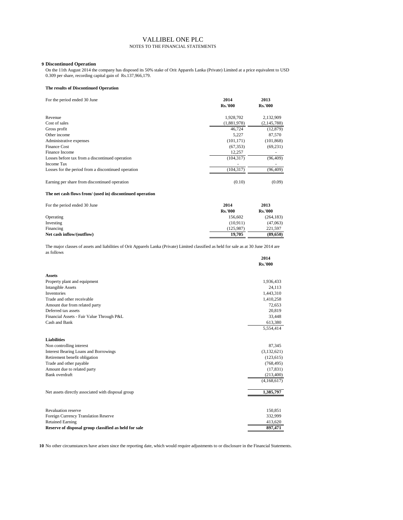#### **9 Discontinued Operation**

#### **The results of Discontinued Operation**

| For the period ended 30 June                        | 2014<br><b>Rs.'000</b> | 2013<br><b>Rs.'000</b> |
|-----------------------------------------------------|------------------------|------------------------|
| Revenue                                             | 1,928,702              | 2,132,909              |
| Cost of sales                                       | (1,881,978)            | (2, 145, 788)          |
| Gross profit                                        | 46,724                 | (12, 879)              |
| Other income                                        | 5,227                  | 87,570                 |
| Administrative expenses                             | (101, 171)             | (101, 868)             |
| <b>Finance Cost</b>                                 | (67, 353)              | (69, 231)              |
| Finance Income                                      | 12,257                 |                        |
| Losses before tax from a discontinued operation     | (104, 317)             | (96, 409)              |
| Income Tax                                          |                        |                        |
| Losses for the period from a discontinued operation | (104, 317)             | (96, 409)              |
| Earning per share from discontinued operation       | (0.10)                 | (0.09)                 |

#### **The net cash flows from/ (used in) discontinued operation**

| For the period ended 30 June | 2014           | 2013           |
|------------------------------|----------------|----------------|
|                              | <b>Rs.'000</b> | <b>Rs.'000</b> |
| Operating                    | 156,602        | (264, 183)     |
| Investing                    | (10, 911)      | (47,063)       |
| Financing                    | (125,987)      | 221,597        |
| Net cash inflow/(outflow)    | 19,705         | (89,650)       |

|                                           | 2014           |
|-------------------------------------------|----------------|
|                                           | <b>Rs.'000</b> |
| <b>Assets</b>                             |                |
| Property plant and equipment              | 1,936,433      |
| <b>Intangible Assets</b>                  | 24,113         |
| Inventories                               | 1,443,310      |
| Trade and other receivable                | 1,410,258      |
| Amount due from related party             | 72,653         |
| Deferred tax assets                       | 20,819         |
| Financial Assets - Fair Value Through P&L | 33,448         |
| Cash and Bank                             | 613,380        |
|                                           | 5,554,414      |
|                                           |                |

| <b>Liabilities</b>                                    |             |
|-------------------------------------------------------|-------------|
| Non controlling interest                              | 87,345      |
| <b>Interest Bearing Loans and Borrowings</b>          | (3,132,621) |
| Retirement benefit obligation                         | (123, 615)  |
| Trade and other payable                               | (768, 495)  |
| Amount due to related party                           | (17, 831)   |
| Bank overdraft                                        | (213,400)   |
|                                                       | (4,168,617) |
| Net assets directly associated with disposal group    | 1,385,797   |
| <b>Revaluation reserve</b>                            | 150,851     |
| <b>Foreign Currency Translation Reserve</b>           | 332,999     |
| <b>Retained Earning</b>                               | 413,620     |
| Reserve of disposal group classified as held for sale | 897,471     |

The major classes of assets and liabilities of Orit Apparels Lanka (Private) Limited classified as held for sale as at 30 June 2014 are as follows

#### VALLIBEL ONE PLC NOTES TO THE FINANCIAL STATEMENTS

**10** No other circumstances have arisen since the reporting date, which would require adjustments to or disclosure in the Financial Statements.

On the 11th August 2014 the company has disposed its 50% stake of Orit Apparels Lanka (Private) Limited at a price equivalent to USD 0.309 per share, recording capital gain of Rs.137,966,179.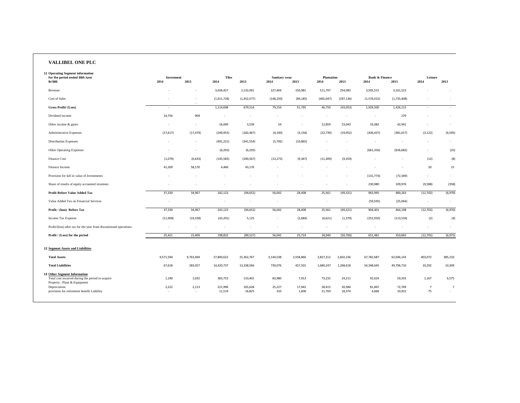# **VALLIBEL ONE PLC**

| <b>11 Operating Segment information</b><br>For the period ended 30th June                 | <b>Investment</b>                 |                          | <b>Tiles</b>             |                          | <b>Sanitary wear</b> |                          | <b>Plantation</b>        |                          | <b>Bank &amp; Finance</b> |                          | Leisure                  |                |
|-------------------------------------------------------------------------------------------|-----------------------------------|--------------------------|--------------------------|--------------------------|----------------------|--------------------------|--------------------------|--------------------------|---------------------------|--------------------------|--------------------------|----------------|
| <b>Rs'000</b>                                                                             | 2014                              | 2013                     | 2014                     | 2013                     | 2014                 | 2013                     | 2014                     | 2013                     | 2014                      | 2013                     | 2014                     | 2013           |
| Revenue                                                                                   | $\overline{\phantom{a}}$          | $\overline{\phantom{a}}$ | 3,026,427                | 2,132,091                | 227,404              | 150,981                  | 511,797                  | 254,083                  | 3,505,515                 | 3,161,523                | $\sim$                   | $\overline{a}$ |
| Cost of Sales                                                                             | $\overline{\phantom{0}}$          | $\overline{\phantom{a}}$ | (1, 911, 728)            | (1,452,577)              | (148, 250)           | (99, 185)                | (465, 047)               | (297, 136)               | (1,576,015)               | (1,735,408)              |                          | $\sim$         |
| Gross Profit/ (Loss)                                                                      | $\overline{\phantom{0}}$          | $\overline{\phantom{a}}$ | 1,114,698                | 679,514                  | 79,154               | 51,795                   | 46,750                   | (43,053)                 | 1,929,500                 | 1,426,115                | $\sim$                   | $\sim$         |
| Dividend income                                                                           | 14,756                            | 909                      | $\overline{\phantom{a}}$ | $\overline{\phantom{a}}$ |                      | $\overline{\phantom{0}}$ |                          |                          | $\overline{\phantom{a}}$  | 279                      | $\overline{a}$           | $\sim$         |
| Other income $&$ gains                                                                    | $\overline{\phantom{0}}$          | $\overline{\phantom{a}}$ | 16,009                   | 3,539                    | 54                   | $\overline{\phantom{a}}$ | 12,859                   | 23,043                   | 33,082                    | 42,941                   | $\overline{\phantom{0}}$ | $\sim$         |
| <b>Administrative Expenses</b>                                                            | (17, 617)                         | (17, 479)                | (249, 953)               | (182, 467)               | (4, 100)             | (3, 156)                 | (22, 739)                | (19, 952)                | (436, 437)                | (381, 017)               | (3, 122)                 | (6, 595)       |
| <b>Distribution Expenses</b>                                                              | $\sim$                            | $\overline{\phantom{a}}$ | (491, 221)               | (341, 554)               | (5, 792)             | (10, 865)                | $\overline{\phantom{a}}$ | $\overline{\phantom{a}}$ | $\overline{\phantom{0}}$  | $\overline{\phantom{0}}$ | $\sim$                   | $\sim$         |
| <b>Other Operating Expenses</b>                                                           | $\overline{\phantom{0}}$          | $\overline{\phantom{a}}$ | (6, 293)                 | (6, 293)                 | $\sim$               | $\overline{\phantom{0}}$ | $\overline{\phantom{a}}$ | $\overline{a}$           | (661, 356)                | (636, 682)               | $\sim$                   | (25)           |
| Finance Cost                                                                              | (1,079)                           | (6, 633)                 | (145, 583)               | (290, 567)               | (13, 273)            | (9, 367)                 | (11, 309)                | (9, 359)                 | $\overline{\phantom{a}}$  | $\overline{\phantom{a}}$ | (12)                     | (8)            |
| Finance Income                                                                            | 41,269                            | 58,170                   | 4,466                    | 43,176                   | $\sim$               | $\overline{\phantom{a}}$ | $\sim$                   | $\overline{\phantom{a}}$ |                           |                          | 20                       | 15             |
| Provision for fall in value of Investments                                                | $\overline{a}$                    | $\overline{\phantom{a}}$ | $\overline{\phantom{a}}$ |                          |                      |                          | $\overline{\phantom{a}}$ | $\overline{\phantom{a}}$ | (131, 774)                | (72, 349)                | $\overline{a}$           | $\sim$         |
| Share of results of equity accounted investees                                            |                                   |                          |                          |                          |                      |                          | $\overline{\phantom{a}}$ | $\overline{\phantom{a}}$ | 230,980                   | 109,976                  | (9,588)                  | (358)          |
| <b>Profit Before Value Added Tax</b>                                                      | 37,330                            | 34,967                   | 242,123                  | (94, 652)                | 56,042               | 28,408                   | 25,561                   | (49, 321)                | 963,995                   | 489,263                  | (12, 702)                | (6,970)        |
| Value Added Tax on Financial Services                                                     |                                   |                          |                          |                          |                      |                          |                          |                          | (59, 595)                 | (25,064)                 | $\overline{\phantom{0}}$ | $\sim$         |
| Profit / (loos) Before Tax                                                                | 37,330                            | 34,967                   | 242,123                  | (94, 652)                | 56,042               | 28,408                   | 25,561                   | (49, 321)                | 904,401                   | 464,198                  | (12,702)                 | (6,970)        |
| Income Tax Expense                                                                        | (11,909)                          | (19, 558)                | (43, 291)                | 5,125                    | $\sim$               | (2,684)                  | (6,621)                  | (1, 379)                 | (252, 920)                | (113, 534)               | (2)                      | (4)            |
| Profit/(loss) after tax for the year from discontinued operations                         |                                   | $\overline{\phantom{a}}$ | $\overline{\phantom{a}}$ | $\overline{\phantom{a}}$ |                      | $\overline{\phantom{a}}$ | $\overline{\phantom{a}}$ | $\overline{\phantom{a}}$ | $\overline{\phantom{a}}$  | $\overline{\phantom{0}}$ | $\sim$                   | $\sim$         |
| Profit / (Loss) for the period                                                            | 25,421                            | 15,409                   | 198,832                  | (89, 527)                | 56,042               | 25,724                   | 18,940                   | (50, 700)                | 651,481                   | 350,665                  | (12,705)                 | (6, 975)       |
|                                                                                           |                                   |                          |                          |                          |                      |                          |                          |                          |                           |                          |                          |                |
| <b>12 Segment Assets and Liabilities</b>                                                  |                                   |                          |                          |                          |                      |                          |                          |                          |                           |                          |                          |                |
| <b>Total Assets</b>                                                                       | 9,571,594                         | 9,763,494                | 27,800,622               | 25,362,767               | 3,144,538            | 2,558,866                | 2,827,312                | 2,602,236                | 67,782,687                | 62,046,143               | 403,072                  | 385,210        |
| <b>Total Liabilities</b>                                                                  | 67,618                            | 283,057                  | 14,420,737               | 13,338,566               | 730,076              | 457,501                  | 1,680,247                | 1,268,618                | 54,348,645                | 49,796,710               | 10,292                   | 10,309         |
| <b>13 Other Segment Information</b><br>Total cost incurred during the period to acquire   | 1,190                             | 1,032                    | 383,753                  | 110,401                  | 83,980               | 7,913                    | 73,232                   | 24,211                   | 92,624                    | 59,355                   | 1,167                    | 6,575          |
| Property, Plant & Equipment<br>Depreciation<br>provision for retirement benefit Liability | 2,222<br>$\overline{\phantom{0}}$ | 2,113<br>$\sim$          | 221,996<br>11,519        | 165,628<br>16,825        | 25,227<br>310        | 17,042<br>1,606          | 28,415<br>21,704         | 20,584<br>18,374         | 81,847<br>4,666           | 72,769<br>10,922         | $\overline{7}$<br>75     | $\overline{7}$ |
|                                                                                           |                                   |                          |                          |                          |                      |                          |                          |                          |                           |                          |                          |                |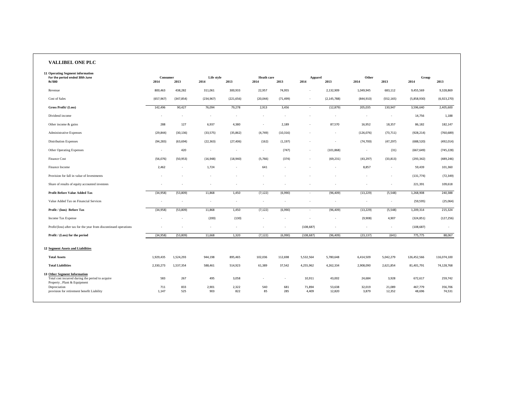| <b>VALLIBEL ONE PLC</b>                                                                                                                |                         |                          |                          |                          |                           |               |                          |                          |                  |                          |                    |                    |
|----------------------------------------------------------------------------------------------------------------------------------------|-------------------------|--------------------------|--------------------------|--------------------------|---------------------------|---------------|--------------------------|--------------------------|------------------|--------------------------|--------------------|--------------------|
| <b>11 Operating Segment information</b><br>For the period ended 30th June<br><b>Rs'000</b>                                             | <b>Consumer</b><br>2014 | 2013                     | Life style<br>2014       | 2013                     | <b>Heath care</b><br>2014 | 2013          | <b>Apparel</b><br>2014   | 2013                     | Other<br>2014    | 2013                     | Group<br>2014      | 2013               |
| Revenue                                                                                                                                | 800,463                 | 438,282                  | 311,061                  | 300,933                  | 22,957                    | 74,955        | $\overline{\phantom{a}}$ | 2,132,909                | 1,049,945        | 683,112                  | 9,455,569          | 9,328,869          |
| Cost of Sales                                                                                                                          | (657, 967)              | (347, 854)               | (234, 967)               | (221, 656)               | (20, 044)                 | (71, 499)     | $\sim$                   | (2, 145, 788)            | (844, 910)       | (552, 165)               | (5,858,930)        | (6,923,270)        |
| Gross Profit/ (Loss)                                                                                                                   | 142,496                 | 90,427                   | 76,094                   | 79,278                   | 2,913                     | 3,456         | $\sim$                   | (12, 879)                | 205,035          | 130,947                  | 3,596,640          | 2,405,600          |
| Dividend income                                                                                                                        | $\sim$                  | $\overline{\phantom{a}}$ | $\overline{\phantom{a}}$ | $\overline{\phantom{0}}$ | $-$                       | $\sim$        | $\overline{\phantom{a}}$ | $\overline{\phantom{a}}$ | $\overline{a}$   | $\overline{\phantom{a}}$ | 14,756             | 1,188              |
| Other income $&$ gains                                                                                                                 | 288                     | 127                      | 6,937                    | 4,380                    | $-$                       | 2,189         | $\overline{\phantom{a}}$ | 87,570                   | 16,952           | 18,357                   | 86,182             | 182,147            |
| <b>Administrative Expenses</b>                                                                                                         | (29, 844)               | (30, 136)                | (33, 575)                | (35, 862)                | (4, 749)                  | (10, 316)     | $\overline{\phantom{a}}$ | $\overline{\phantom{a}}$ | (126, 076)       | (73, 711)                | (928, 214)         | (760, 689)         |
| <b>Distribution Expenses</b>                                                                                                           | (94, 283)               | (63, 694)                | (22, 363)                | (27, 406)                | (162)                     | (1, 197)      | $\overline{\phantom{a}}$ | $\overline{\phantom{a}}$ | (74, 700)        | (47, 297)                | (688, 520)         | (492, 014)         |
| <b>Other Operating Expenses</b>                                                                                                        | $\sim$                  | 420                      | $\overline{a}$           |                          | $-$                       | (747)         | $\overline{a}$           | (101, 868)               | $\overline{a}$   | (31)                     | (667, 649)         | (745, 228)         |
| Finance Cost                                                                                                                           | (56,076)                | (50, 953)                | (16, 948)                | (18,940)                 | (5,766)                   | (374)         | $\sim$                   | (69, 231)                | (43, 297)        | (33, 813)                | (293, 342)         | (489, 246)         |
| Finance Income                                                                                                                         | 2,462                   | $\sim$                   | 1,724                    | $\overline{\phantom{0}}$ | 641                       | $\sim$        | $\overline{\phantom{a}}$ | $\sim$                   | 8,857            | $\sim$                   | 59,439             | 101,360            |
| Provision for fall in value of Investments                                                                                             | $\sim$                  | $\overline{\phantom{0}}$ | $\overline{\phantom{a}}$ | $\overline{\phantom{0}}$ | $\sim$                    | $\sim$        | $\overline{\phantom{a}}$ | $\sim$                   | $\overline{a}$   | $\sim$                   | (131, 774)         | (72, 349)          |
| Share of results of equity accounted investees                                                                                         |                         |                          |                          |                          |                           |               | $\overline{\phantom{a}}$ |                          |                  | $\sim$                   | 221,391            | 109,618            |
| <b>Profit Before Value Added Tax</b>                                                                                                   | (34, 958)               | (53,809)                 | 11,868                   | 1,450                    | (7, 122)                  | (6,990)       | $\overline{a}$           | (96, 409)                | (13, 229)        | (5, 548)                 | 1,268,908          | 240,388            |
| Value Added Tax on Financial Services                                                                                                  | $-$                     | $\overline{a}$           | $\overline{\phantom{a}}$ | $\overline{\phantom{0}}$ | $-$                       | $\sim$        | $\overline{\phantom{a}}$ | $\overline{a}$           | $\overline{a}$   | $\sim$                   | (59, 595)          | (25,064)           |
| Profit / (loos) Before Tax                                                                                                             | (34, 958)               | (53,809)                 | 11,868                   | 1,450                    | (7, 122)                  | (6,990)       | $\sim$                   | (96, 409)                | (13, 229)        | (5, 548)                 | 1,209,314          | 215,324            |
| Income Tax Expense                                                                                                                     | $\sim$                  | $\overline{\phantom{0}}$ | (200)                    | (130)                    | $-$                       | $\sim$        | $\overline{\phantom{a}}$ | $\overline{\phantom{a}}$ | (9,908)          | 4,907                    | (324, 851)         | (127, 256)         |
| Profit/(loss) after tax for the year from discontinued operations                                                                      |                         |                          | $\overline{\phantom{a}}$ | $\sim$                   | $\overline{\phantom{a}}$  | $\sim$        | (108, 687)               | $\overline{\phantom{a}}$ | $\overline{a}$   | $\overline{a}$           | (108, 687)         | $\sim$             |
| Profit / (Loss) for the period                                                                                                         | (34, 958)               | (53,809)                 | 11,668                   | 1,320                    | (7, 122)                  | (6,990)       | (108, 687)               | (96, 409)                | (23, 137)        | (641)                    | 775,775            | 88,067             |
| <b>12 Segment Assets and Liabilities</b>                                                                                               |                         |                          |                          |                          |                           |               |                          |                          |                  |                          |                    |                    |
| <b>Total Assets</b>                                                                                                                    | 1,929,435               | 1,524,293                | 944,198                  | 895,465                  | 102,036                   | 112,698       | 5,532,564                | 5,780,648                | 6,414,509        | 5,042,279                | 126,452,566        | 116,074,100        |
| <b>Total Liabilities</b>                                                                                                               | 2,330,273               | 1,537,354                | 588,461                  | 514,923                  | 61,389                    | 37,542        | 4,255,962                | 4,262,334                | 2,908,090        | 2,621,854                | 81,401,791         | 74,128,768         |
| <b>13 Other Segment Information</b><br>Total cost incurred during the period to acquire<br>Property, Plant & Equipment<br>Depreciation | 583<br>711              | 267<br>833               | 495<br>2,901             | 3,058<br>2,322           | $\sim$<br>540             | $\sim$<br>681 | 10,911<br>71,894         | 43,002<br>53,638         | 24,684<br>32,019 | 3,928<br>21,089          | 672,617<br>467,779 | 259,742<br>356,706 |
| provision for retirement benefit Liability                                                                                             | 1,147                   | 525                      | 903                      | 822                      | 85                        | 285           | 4,409                    | 12,820                   | 3,879            | 12,352                   | 48,696             | 74,531             |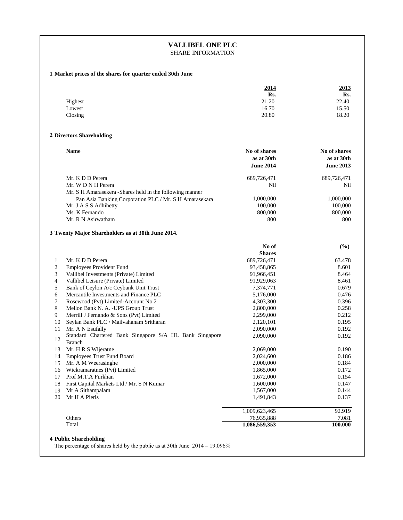# **1 Market prices of the shares for quarter ended 30th June**

|         | 2014  | 2013  |
|---------|-------|-------|
|         | Rs.   | Rs.   |
| Highest | 21.20 | 22.40 |
| Lowest  | 16.70 | 15.50 |
| Closing | 20.80 | 18.20 |

# **2 Directors Shareholding**

| <b>Name</b>                                               | No of shares<br>as at 30th<br><b>June 2014</b> | No of shares<br>as at 30th<br><b>June 2013</b> |
|-----------------------------------------------------------|------------------------------------------------|------------------------------------------------|
| Mr. K D D Perera                                          | 689,726,471                                    | 689,726,471                                    |
| Mr. W D N H Perera                                        | Nil                                            | <b>Nil</b>                                     |
| Mr. S H Amarasekera - Shares held in the following manner |                                                |                                                |
| Pan Asia Banking Corporation PLC / Mr. S H Amarasekara    | 1,000,000                                      | 1,000,000                                      |
| Mr. J A S S Adhihetty                                     | 100,000                                        | 100,000                                        |
| Ms. K Fernando                                            | 800,000                                        | 800,000                                        |
| Mr. R N Asirwatham                                        | 800                                            | 800                                            |

#### **3 Twenty Major Shareholders as at 30th June 2014.**

|              |                                                                          | No of         | $(\%)$  |
|--------------|--------------------------------------------------------------------------|---------------|---------|
|              |                                                                          | <b>Shares</b> |         |
| $\mathbf{1}$ | Mr. K D D Perera                                                         | 689,726,471   | 63.478  |
| $\mathbf{2}$ | <b>Employees Provident Fund</b>                                          | 93,458,865    | 8.601   |
| 3            | Vallibel Investments (Private) Limited                                   | 91,966,451    | 8.464   |
| 4            | Vallibel Leisure (Private) Limited                                       | 91,929,063    | 8.461   |
| 5            | Bank of Ceylon A/c Ceybank Unit Trust                                    | 7,374,771     | 0.679   |
| 6            | Mercantile Investments and Finance PLC                                   | 5,176,000     | 0.476   |
| 7            | Rosewood (Pvt) Limited-Account No.2                                      | 4,303,300     | 0.396   |
| 8            | Mellon Bank N. A. - UPS Group Trust                                      | 2,800,000     | 0.258   |
| 9            | Merrill J Fernando & Sons (Pvt) Limited                                  | 2,299,000     | 0.212   |
| 10           | Seylan Bank PLC / Mailvahanam Sritharan                                  | 2,120,101     | 0.195   |
| 11           | Mr. A N Esufally                                                         | 2,090,000     | 0.192   |
| 12           | Standard Chartered Bank Singapore S/A HL Bank Singapore<br><b>Branch</b> | 2,090,000     | 0.192   |
| 13           | Mr. H R S Wijeratne                                                      | 2,069,000     | 0.190   |
| 14           | <b>Employees Trust Fund Board</b>                                        | 2,024,600     | 0.186   |
| 15           | Mr. A M Weerasinghe                                                      | 2,000,000     | 0.184   |
| 16           | Wickramaratnes (Pvt) Limited                                             | 1,865,000     | 0.172   |
| 17           | Prof M.T.A Furkhan                                                       | 1,672,000     | 0.154   |
| 18           | First Capital Markets Ltd / Mr. S N Kumar                                | 1,600,000     | 0.147   |
| 19           | Mr A Sithampalam                                                         | 1,567,000     | 0.144   |
| 20           | Mr H A Pieris                                                            | 1,491,843     | 0.137   |
|              |                                                                          | 1,009,623,465 | 92.919  |
|              | Others                                                                   | 76,935,888    | 7.081   |
|              | Total                                                                    | 1,086,559,353 | 100.000 |

# **VALLIBEL ONE PLC** SHARE INFORMATION